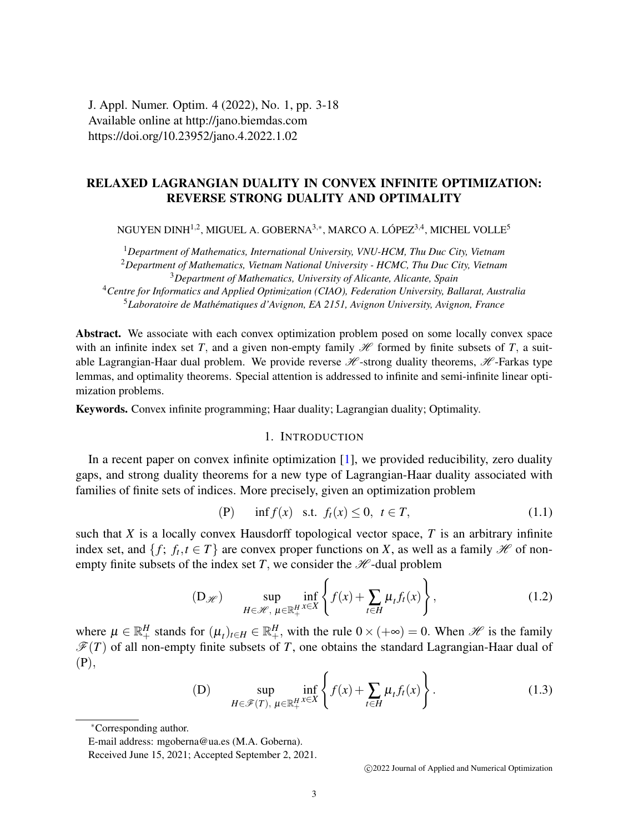J. Appl. Numer. Optim. 4 (2022), No. 1, pp. 3-18 Available online at http://jano.biemdas.com https://doi.org/10.23952/jano.4.2022.1.02

# RELAXED LAGRANGIAN DUALITY IN CONVEX INFINITE OPTIMIZATION: REVERSE STRONG DUALITY AND OPTIMALITY

NGUYEN DINH $^{1,2}$ , MIGUEL A. GOBERNA $^{3,\ast}$ , MARCO A. LÓPEZ $^{3,4}$ , MICHEL VOLLE $^5$ 

<sup>1</sup>*Department of Mathematics, International University, VNU-HCM, Thu Duc City, Vietnam* <sup>2</sup>*Department of Mathematics, Vietnam National University - HCMC, Thu Duc City, Vietnam* <sup>3</sup>*Department of Mathematics, University of Alicante, Alicante, Spain*

<sup>4</sup>*Centre for Informatics and Applied Optimization (CIAO), Federation University, Ballarat, Australia* <sup>5</sup>*Laboratoire de Mathematiques d'Avignon, EA 2151, Avignon University, Avignon, France ´*

Abstract. We associate with each convex optimization problem posed on some locally convex space with an infinite index set *T*, and a given non-empty family  $\mathcal H$  formed by finite subsets of *T*, a suitable Lagrangian-Haar dual problem. We provide reverse  $H$ -strong duality theorems,  $H$ -Farkas type lemmas, and optimality theorems. Special attention is addressed to infinite and semi-infinite linear optimization problems.

Keywords. Convex infinite programming; Haar duality; Lagrangian duality; Optimality.

## 1. INTRODUCTION

In a recent paper on convex infinite optimization [\[1\]](#page-15-0), we provided reducibility, zero duality gaps, and strong duality theorems for a new type of Lagrangian-Haar duality associated with families of finite sets of indices. More precisely, given an optimization problem

<span id="page-0-2"></span>
$$
(P) \quad \inf f(x) \quad \text{s.t.} \quad f_t(x) \le 0, \quad t \in T,
$$
\n
$$
(1.1)
$$

such that  $X$  is a locally convex Hausdorff topological vector space,  $T$  is an arbitrary infinite index set, and  $\{f; f_t, t \in T\}$  are convex proper functions on *X*, as well as a family *H* of nonempty finite subsets of the index set  $T$ , we consider the  $H$ -dual problem

<span id="page-0-1"></span>
$$
\text{(D}_{\mathscr{H}}) \qquad \sup_{H \in \mathscr{H}, \ \mu \in \mathbb{R}_+^H} \inf_{x \in X} \left\{ f(x) + \sum_{t \in H} \mu_t f_t(x) \right\},\tag{1.2}
$$

where  $\mu \in \mathbb{R}^H_+$  stands for  $(\mu_t)_{t \in H} \in \mathbb{R}^H_+$ , with the rule  $0 \times (+\infty) = 0$ . When  $\mathcal{H}$  is the family  $\mathcal{F}(T)$  of all non-empty finite subsets of *T*, one obtains the standard Lagrangian-Haar dual of (P),

<span id="page-0-0"></span>(D) 
$$
\sup_{H \in \mathscr{F}(T), \ \mu \in \mathbb{R}^H_+} \inf_{x \in X} \left\{ f(x) + \sum_{t \in H} \mu_t f_t(x) \right\}.
$$
 (1.3)

c 2022 Journal of Applied and Numerical Optimization

<sup>∗</sup>Corresponding author.

E-mail address: mgoberna@ua.es (M.A. Goberna).

Received June 15, 2021; Accepted September 2, 2021.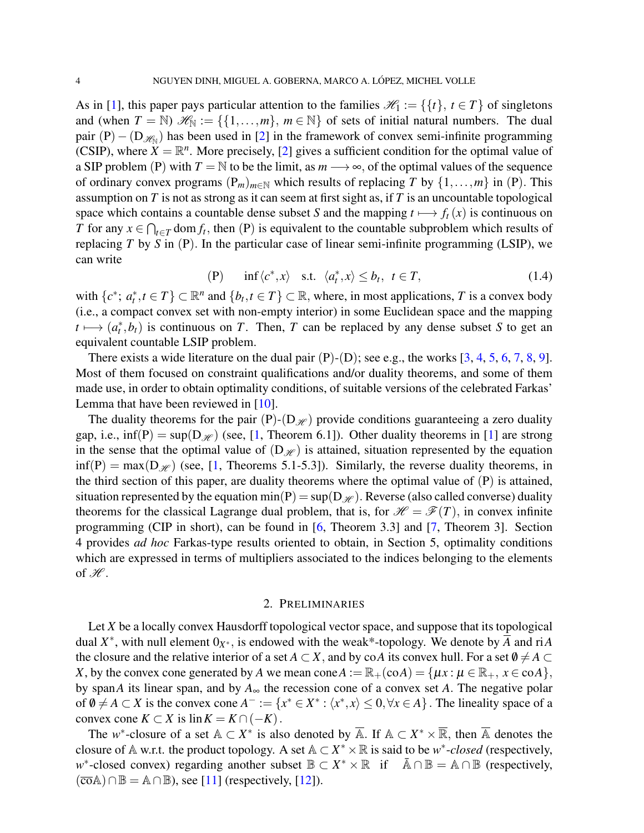As in [\[1\]](#page-15-0), this paper pays particular attention to the families  $\mathcal{H}_1 := \{ \{t\}, t \in T \}$  of singletons and (when  $T = \mathbb{N}$ )  $\mathscr{H}_{\mathbb{N}} := \{\{1, \ldots, m\}, m \in \mathbb{N}\}\$  of sets of initial natural numbers. The dual pair  $(P) - (D_{\mathcal{H}_{N}})$  has been used in [\[2\]](#page-15-1) in the framework of convex semi-infinite programming (CSIP), where  $X = \mathbb{R}^n$ . More precisely, [\[2\]](#page-15-1) gives a sufficient condition for the optimal value of a SIP problem (P) with  $T = \mathbb{N}$  to be the limit, as  $m \rightarrow \infty$ , of the optimal values of the sequence of ordinary convex programs  $(P_m)_{m \in \mathbb{N}}$  which results of replacing *T* by  $\{1, \ldots, m\}$  in (P). This assumption on *T* is not as strong as it can seem at first sight as, if *T* is an uncountable topological space which contains a countable dense subset *S* and the mapping  $t \mapsto f_t(x)$  is continuous on *T* for any  $x \in \bigcap_{t \in T} \text{dom } f_t$ , then  $(P)$  is equivalent to the countable subproblem which results of replacing *T* by *S* in (P). In the particular case of linear semi-infinite programming (LSIP), we can write

<span id="page-1-0"></span>
$$
(P) \quad \inf \langle c^*, x \rangle \quad \text{s.t.} \quad \langle a_t^*, x \rangle \le b_t, \ t \in T,
$$
\n
$$
(1.4)
$$

with  $\{c^*, a_t^*, t \in T\} \subset \mathbb{R}^n$  and  $\{b_t, t \in T\} \subset \mathbb{R}$ , where, in most applications, *T* is a convex body (i.e., a compact convex set with non-empty interior) in some Euclidean space and the mapping  $t \mapsto (a_t^*, b_t)$  is continuous on *T*. Then, *T* can be replaced by any dense subset *S* to get an equivalent countable LSIP problem.

There exists a wide literature on the dual pair  $(P)-(D)$ ; see e.g., the works  $[3, 4, 5, 6, 7, 8, 9]$  $[3, 4, 5, 6, 7, 8, 9]$  $[3, 4, 5, 6, 7, 8, 9]$  $[3, 4, 5, 6, 7, 8, 9]$  $[3, 4, 5, 6, 7, 8, 9]$  $[3, 4, 5, 6, 7, 8, 9]$  $[3, 4, 5, 6, 7, 8, 9]$  $[3, 4, 5, 6, 7, 8, 9]$  $[3, 4, 5, 6, 7, 8, 9]$  $[3, 4, 5, 6, 7, 8, 9]$  $[3, 4, 5, 6, 7, 8, 9]$  $[3, 4, 5, 6, 7, 8, 9]$  $[3, 4, 5, 6, 7, 8, 9]$ . Most of them focused on constraint qualifications and/or duality theorems, and some of them made use, in order to obtain optimality conditions, of suitable versions of the celebrated Farkas' Lemma that have been reviewed in [\[10\]](#page-15-9).

The duality theorems for the pair  $(P)$ - $(D_{\mathcal{H}})$  provide conditions guaranteeing a zero duality gap, i.e.,  $\inf(P) = \sup(D_{\mathcal{H}})$  (see, [\[1,](#page-15-0) Theorem 6.1]). Other duality theorems in [\[1\]](#page-15-0) are strong in the sense that the optimal value of  $(D_{\mathcal{H}})$  is attained, situation represented by the equation  $\inf(P) = \max(D_{\mathcal{H}})$  (see, [\[1,](#page-15-0) Theorems 5.1-5.3]). Similarly, the reverse duality theorems, in the third section of this paper, are duality theorems where the optimal value of  $(P)$  is attained, situation represented by the equation min(P) =  $\sup(D_{\mathcal{H}})$ . Reverse (also called converse) duality theorems for the classical Lagrange dual problem, that is, for  $\mathcal{H} = \mathcal{F}(T)$ , in convex infinite programming (CIP in short), can be found in [\[6,](#page-15-5) Theorem 3.3] and [\[7,](#page-15-6) Theorem 3]. Section 4 provides *ad hoc* Farkas-type results oriented to obtain, in Section 5, optimality conditions which are expressed in terms of multipliers associated to the indices belonging to the elements of  $\mathscr{H}$ .

# 2. PRELIMINARIES

Let *X* be a locally convex Hausdorff topological vector space, and suppose that its topological dual  $X^*$ , with null element  $0_{X^*}$ , is endowed with the weak<sup>\*</sup>-topology. We denote by  $\overline{A}$  and riA the closure and the relative interior of a set *A*  $\subset$  *X*, and by co*A* its convex hull. For a set  $\emptyset \neq A \subset$ *X*, by the convex cone generated by *A* we mean cone  $A := \mathbb{R}_+ (\text{co}A) = \{ \mu x : \mu \in \mathbb{R}_+, x \in \text{co}A \},\$ by span*A* its linear span, and by *A*<sup>∞</sup> the recession cone of a convex set *A*. The negative polar of  $\emptyset \neq A \subset X$  is the convex cone  $A^- := \{x^* \in X^* : \langle x^*, x \rangle \leq 0, \forall x \in A\}$ . The lineality space of a convex cone  $K \subset X$  is  $\text{lin } K = K \cap (-K)$ .

The *w*<sup>\*</sup>-closure of a set  $A \subset X^*$  is also denoted by  $\overline{A}$ . If  $A \subset X^* \times \overline{\mathbb{R}}$ , then  $\overline{A}$  denotes the closure of A w.r.t. the product topology. A set  $A \subset X^* \times \mathbb{R}$  is said to be  $w^*$ -*closed* (respectively,  $w^*$ -closed convex) regarding another subset  $\mathbb{B} \subset X^* \times \mathbb{R}$  if  $\overline{\mathbb{A}} \cap \mathbb{B} = \mathbb{A} \cap \mathbb{B}$  (respectively,  $(\overline{\text{co}}\mathbb{A}) \cap \mathbb{B} = \mathbb{A} \cap \mathbb{B}$ ), see [\[11\]](#page-15-10) (respectively, [\[12\]](#page-15-11)).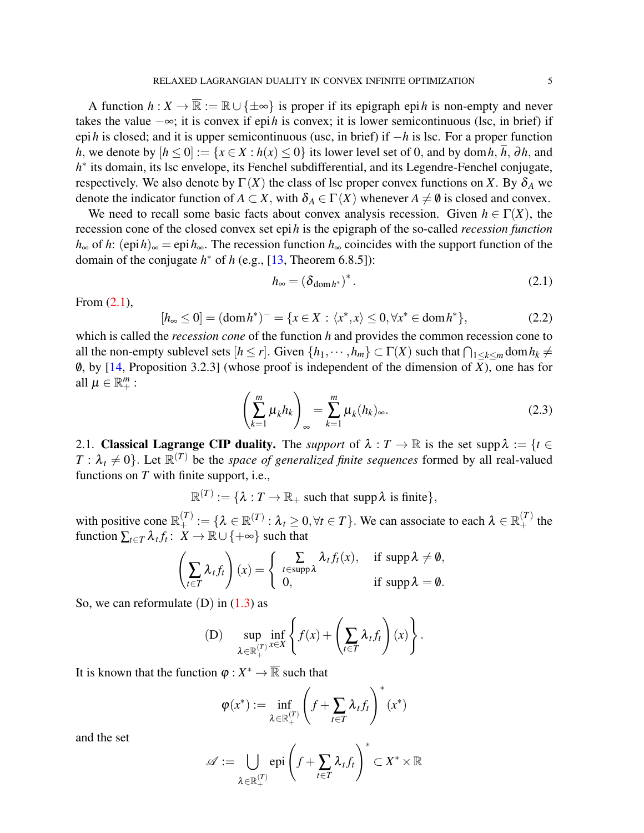A function  $h: X \to \overline{\mathbb{R}} := \mathbb{R} \cup \{\pm \infty\}$  is proper if its epigraph epi*h* is non-empty and never takes the value −∞; it is convex if epi*h* is convex; it is lower semicontinuous (lsc, in brief) if epi*h* is closed; and it is upper semicontinuous (usc, in brief) if −*h* is lsc. For a proper function *h*, we denote by  $[h \le 0] := \{x \in X : h(x) \le 0\}$  its lower level set of 0, and by dom *h*, *h*, ∂*h*, and h<sup>\*</sup> its domain, its lsc envelope, its Fenchel subdifferential, and its Legendre-Fenchel conjugate, respectively. We also denote by  $\Gamma(X)$  the class of lsc proper convex functions on *X*. By  $\delta_A$  we denote the indicator function of  $A \subset X$ , with  $\delta_A \in \Gamma(X)$  whenever  $A \neq \emptyset$  is closed and convex.

We need to recall some basic facts about convex analysis recession. Given  $h \in \Gamma(X)$ , the recession cone of the closed convex set epi*h* is the epigraph of the so-called *recession function h*<sup>∞</sup> of *h*: (epi*h*)<sup>∞</sup> = epi*h*∞. The recession function *h*<sup>∞</sup> coincides with the support function of the domain of the conjugate  $h^*$  of  $h$  (e.g., [\[13,](#page-15-12) Theorem 6.8.5]):

<span id="page-2-0"></span>
$$
h_{\infty} = \left(\delta_{\text{dom}\,h^*}\right)^*.\tag{2.1}
$$

From [\(2.1\)](#page-2-0),

<span id="page-2-1"></span>
$$
[h_{\infty} \le 0] = (\text{dom}\, h^*)^- = \{x \in X : \langle x^*, x \rangle \le 0, \forall x^* \in \text{dom}\, h^*\},\tag{2.2}
$$

which is called the *recession cone* of the function *h* and provides the common recession cone to all the non-empty sublevel sets  $[h \leq r]$ . Given  $\{h_1, \dots, h_m\} \subset \Gamma(X)$  such that  $\bigcap_{1 \leq k \leq m} \text{dom } h_k \neq \emptyset$ 0, by [\[14,](#page-15-13) Proposition 3.2.3] (whose proof is independent of the dimension of  $\overline{X}$ ), one has for all  $\mu \in \mathbb{R}^m_+$  :

<span id="page-2-2"></span>
$$
\left(\sum_{k=1}^{m} \mu_k h_k\right)_{\infty} = \sum_{k=1}^{m} \mu_k (h_k)_{\infty}.
$$
\n(2.3)

2.1. Classical Lagrange CIP duality. The *support* of  $\lambda : T \to \mathbb{R}$  is the set supp  $\lambda := \{t \in$  $T : \lambda_t \neq 0$ . Let  $\mathbb{R}^{(T)}$  be the *space of generalized finite sequences* formed by all real-valued functions on *T* with finite support, i.e.,

 $\mathbb{R}^{(T)} := \{ \lambda : T \to \mathbb{R}_+ \text{ such that } \text{supp} \lambda \text{ is finite} \},$ 

with positive cone  $\mathbb{R}_+^{(T)} := \{ \lambda \in \mathbb{R}^{(T)} : \lambda_t \geq 0, \forall t \in T \}$ . We can associate to each  $\lambda \in \mathbb{R}_+^{(T)}$  the function  $\sum_{t \in T} \lambda_t f_t$ :  $\overline{X} \to \mathbb{R} \cup \{+\infty\}$  such that

$$
\left(\sum_{t\in T} \lambda_t f_t\right)(x) = \begin{cases} \sum_{t\in \text{supp }\lambda} \lambda_t f_t(x), & \text{if } \text{supp }\lambda \neq \emptyset, \\ 0, & \text{if } \text{supp }\lambda = \emptyset. \end{cases}
$$

So, we can reformulate  $(D)$  in  $(1.3)$  as

(D) 
$$
\sup_{\lambda \in \mathbb{R}_+^{(T)}} \inf_{x \in X} \left\{ f(x) + \left( \sum_{t \in T} \lambda_t f_t \right) (x) \right\}.
$$

It is known that the function  $\varphi : X^* \to \overline{\mathbb{R}}$  such that

$$
\varphi(x^*) := \inf_{\lambda \in \mathbb{R}_+^{(T)}} \left( f + \sum_{t \in T} \lambda_t f_t \right)^*(x^*)
$$

and the set

$$
\mathscr{A} := \bigcup_{\lambda \in \mathbb{R}_+^{(T)}} \mathrm{epi}\left(f + \sum_{t \in T} \lambda_t f_t\right)^* \subset X^* \times \mathbb{R}
$$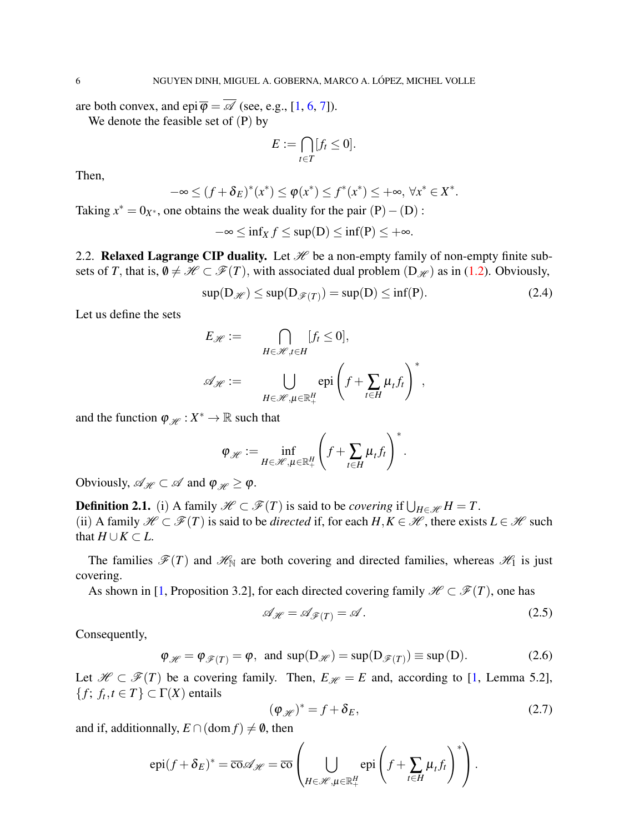are both convex, and epi $\overline{\varphi} = \overline{\mathscr{A}}$  (see, e.g., [\[1,](#page-15-0) [6,](#page-15-5) [7\]](#page-15-6)).

We denote the feasible set of (P) by

$$
E := \bigcap_{t \in T} [f_t \leq 0].
$$

Then,

$$
-\infty \le (f+\delta_E)^*(x^*) \le \varphi(x^*) \le f^*(x^*) \le +\infty, \ \forall x^* \in X^*.
$$

Taking  $x^* = 0_{X^*}$ , one obtains the weak duality for the pair  $(P) - (D)$ :

$$
-\infty \le \inf_X f \le \sup(D) \le \inf(P) \le +\infty.
$$

2.2. Relaxed Lagrange CIP duality. Let  $\mathcal H$  be a non-empty family of non-empty finite subsets of *T*, that is,  $\emptyset \neq \mathcal{H} \subset \mathcal{F}(T)$ , with associated dual problem  $(D_{\mathcal{H}})$  as in [\(1.2\)](#page-0-1). Obviously,

<span id="page-3-3"></span>
$$
\sup(D_{\mathcal{H}}) \le \sup(D_{\mathcal{F}(T)}) = \sup(D) \le \inf(P). \tag{2.4}
$$

Let us define the sets

$$
E_{\mathscr{H}} := \bigcap_{H \in \mathscr{H}, t \in H} [f_t \le 0],
$$
  

$$
\mathscr{A}_{\mathscr{H}} := \bigcup_{H \in \mathscr{H}, \mu \in \mathbb{R}_+^H} \text{epi}\left(f + \sum_{t \in H} \mu_t f_t\right)^*,
$$

and the function  $\varphi_{\mathscr{H}} : X^* \to \mathbb{R}$  such that

$$
\varphi_{\mathscr{H}} := \inf_{H \in \mathscr{H}, \mu \in \mathbb{R}^H_+} \left( f + \sum_{t \in H} \mu_t f_t \right)^*.
$$

Obviously,  $\mathscr{A}_{\mathscr{H}} \subset \mathscr{A}$  and  $\varphi_{\mathscr{H}} \geq \varphi$ .

**Definition 2.1.** (i) A family  $\mathscr{H} \subset \mathscr{F}(T)$  is said to be *covering* if  $\bigcup_{H \in \mathscr{H}} H = T$ . (ii) A family  $\mathcal{H} \subset \mathcal{F}(T)$  is said to be *directed* if, for each  $H, K \in \mathcal{H}$ , there exists  $L \in \mathcal{H}$  such that  $H \cup K \subset L$ .

The families  $\mathscr{F}(T)$  and  $\mathscr{H}_{\mathbb{N}}$  are both covering and directed families, whereas  $\mathscr{H}_1$  is just covering.

As shown in [\[1,](#page-15-0) Proposition 3.2], for each directed covering family  $\mathcal{H} \subset \mathcal{F}(T)$ , one has

<span id="page-3-1"></span>
$$
\mathcal{A}_{\mathcal{H}} = \mathcal{A}_{\mathcal{F}(T)} = \mathcal{A} \,. \tag{2.5}
$$

Consequently,

<span id="page-3-2"></span>
$$
\varphi_{\mathscr{H}} = \varphi_{\mathscr{F}(T)} = \varphi, \text{ and } \sup(D_{\mathscr{H}}) = \sup(D_{\mathscr{F}(T)}) \equiv \sup(D). \tag{2.6}
$$

Let  $\mathcal{H} \subset \mathcal{F}(T)$  be a covering family. Then,  $E_{\mathcal{H}} = E$  and, according to [\[1,](#page-15-0) Lemma 5.2],  ${f; f_t, t \in T} \subset \Gamma(X)$  entails

<span id="page-3-0"></span>
$$
(\varphi_{\mathscr{H}})^* = f + \delta_E,\tag{2.7}
$$

and if, additionnally,  $E \cap (\text{dom } f) \neq \emptyset$ , then

$$
epi(f+\delta_E)^* = \overline{\cos} \mathscr{A}_{\mathscr{H}} = \overline{\cos} \left( \bigcup_{H \in \mathscr{H}, \mu \in \mathbb{R}_+^H} epi \left( f + \sum_{t \in H} \mu_t f_t \right)^* \right).
$$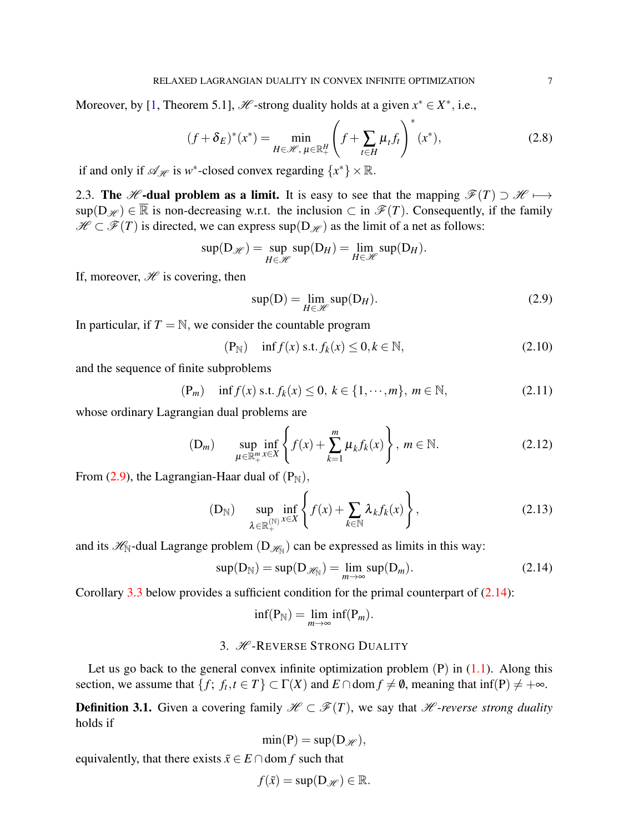Moreover, by [\[1,](#page-15-0) Theorem 5.1],  $\mathcal{H}$ -strong duality holds at a given  $x^* \in X^*$ , i.e.,

<span id="page-4-6"></span>
$$
(f + \delta_E)^*(x^*) = \min_{H \in \mathcal{H}, \ \mu \in \mathbb{R}_+^H} \left( f + \sum_{t \in H} \mu_t f_t \right)^*(x^*), \tag{2.8}
$$

if and only if  $\mathscr{A}_{\mathscr{H}}$  is  $w^*$ -closed convex regarding  $\{x^*\}\times\mathbb{R}$ .

2.3. The *H* -dual problem as a limit. It is easy to see that the mapping  $\mathscr{F}(T) \supset \mathscr{H} \longmapsto$  $\sup(D_{\mathscr{H}}) \in \overline{\mathbb{R}}$  is non-decreasing w.r.t. the inclusion  $\subset$  in  $\mathscr{F}(T)$ . Consequently, if the family  $\mathcal{H} \subset \mathcal{F}(T)$  is directed, we can express sup $(D_{\mathcal{H}})$  as the limit of a net as follows:

$$
\sup(D_{\mathscr{H}}) = \sup_{H \in \mathscr{H}} \sup(D_H) = \lim_{H \in \mathscr{H}} \sup(D_H).
$$

If, moreover,  $\mathcal H$  is covering, then

<span id="page-4-0"></span>
$$
sup(D) = \lim_{H \in \mathcal{H}} sup(D_H).
$$
\n(2.9)

In particular, if  $T = N$ , we consider the countable program

<span id="page-4-2"></span>
$$
(\mathbf{P}_{\mathbb{N}}) \quad \inf f(x) \text{ s.t. } f_k(x) \le 0, k \in \mathbb{N}, \tag{2.10}
$$

and the sequence of finite subproblems

<span id="page-4-3"></span>
$$
(\mathbf{P}_m) \quad \inf f(x) \text{ s.t. } f_k(x) \le 0, \ k \in \{1, \cdots, m\}, \ m \in \mathbb{N}, \tag{2.11}
$$

whose ordinary Lagrangian dual problems are

<span id="page-4-4"></span>
$$
(D_m) \qquad \sup_{\mu \in \mathbb{R}_+^m} \inf_{x \in X} \left\{ f(x) + \sum_{k=1}^m \mu_k f_k(x) \right\}, \ m \in \mathbb{N}.
$$
 (2.12)

From [\(2.9\)](#page-4-0), the Lagrangian-Haar dual of  $(P<sub>N</sub>)$ ,

<span id="page-4-5"></span>(D<sub>N</sub>) 
$$
\sup_{\lambda \in \mathbb{R}_+^{(N)}} \inf_{x \in X} \left\{ f(x) + \sum_{k \in \mathbb{N}} \lambda_k f_k(x) \right\},
$$
 (2.13)

and its  $\mathscr{H}_{\mathbb{N}}$ -dual Lagrange problem  $(D_{\mathscr{H}_{\mathbb{N}}})$  can be expressed as limits in this way:

<span id="page-4-1"></span>
$$
sup(D_N) = sup(D_{\mathscr{H}_N}) = \lim_{m \to \infty} sup(D_m).
$$
 (2.14)

Corollary  $3.3$  below provides a sufficient condition for the primal counterpart of  $(2.14)$ :

$$
\inf(\mathbf{P}_{\mathbb{N}})=\lim_{m\to\infty}\inf(\mathbf{P}_m).
$$

# 3. **H**-REVERSE STRONG DUALITY

Let us go back to the general convex infinite optimization problem  $(P)$  in  $(1.1)$ . Along this section, we assume that  $\{f; f_t, t \in T\} \subset \Gamma(X)$  and  $E \cap \text{dom } f \neq \emptyset$ , meaning that inf(P)  $\neq +\infty$ .

**Definition 3.1.** Given a covering family  $\mathcal{H} \subset \mathcal{F}(T)$ , we say that  $\mathcal{H}$ -*reverse strong duality* holds if

$$
\min(\mathbf{P}) = \sup(\mathbf{D}_{\mathscr{H}}),
$$

equivalently, that there exists  $\bar{x} \in E \cap$  dom f such that

$$
f(\bar{x}) = \sup(D_{\mathscr{H}}) \in \mathbb{R}.
$$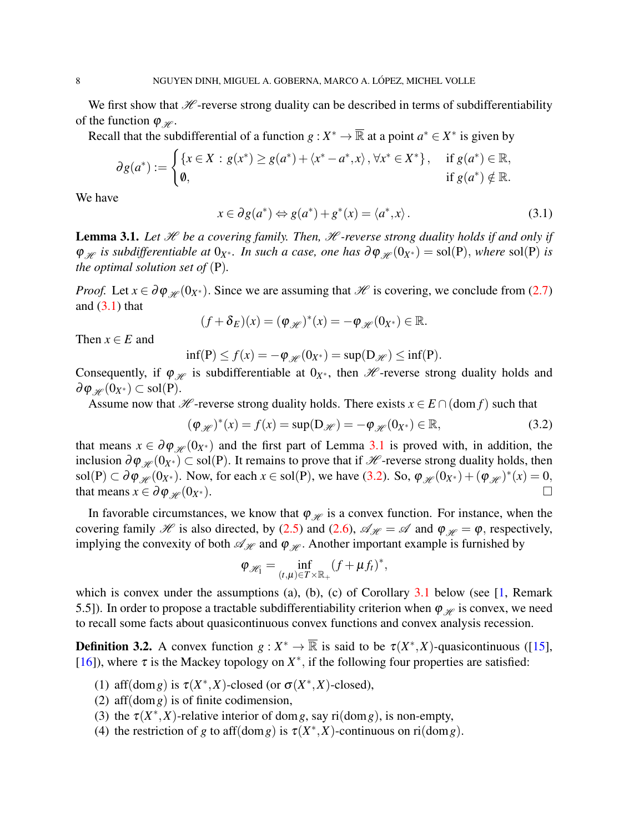We first show that  $H$ -reverse strong duality can be described in terms of subdifferentiability of the function  $\varphi_{\mathscr{H}}$ .

Recall that the subdifferential of a function  $g: X^* \to \overline{\mathbb{R}}$  at a point  $a^* \in X^*$  is given by

$$
\partial g(a^*) := \begin{cases} \{x \in X : g(x^*) \ge g(a^*) + \langle x^* - a^*, x \rangle, \forall x^* \in X^* \}, & \text{if } g(a^*) \in \mathbb{R}, \\ \emptyset, & \text{if } g(a^*) \notin \mathbb{R}. \end{cases}
$$

We have

<span id="page-5-0"></span>
$$
x \in \partial g(a^*) \Leftrightarrow g(a^*) + g^*(x) = \langle a^*, x \rangle.
$$
 (3.1)

<span id="page-5-1"></span>Lemma 3.1. Let *H* be a covering family. Then, *H -reverse strong duality holds if and only if*  $\varphi_{\mathscr{H}}$  *is subdifferentiable at*  $0_{X^*}$ *. In such a case, one has*  $\partial \varphi_{\mathscr{H}}(0_{X^*}) = sol(P)$ *, where* sol(P) *is the optimal solution set of* (P)*.*

*Proof.* Let  $x \in \partial \varphi_{\mathcal{H}}(0_{X^*})$ . Since we are assuming that  $\mathcal{H}$  is covering, we conclude from [\(2.7\)](#page-3-0) and  $(3.1)$  that

$$
(f+\delta_E)(x)=(\varphi_{\mathscr{H}})^*(x)=-\varphi_{\mathscr{H}}(0_{X^*})\in\mathbb{R}.
$$

Then  $x \in E$  and

$$
\inf(\mathbf{P}) \le f(x) = -\varphi_{\mathscr{H}}(0_{X^*}) = \sup(\mathbf{D}_{\mathscr{H}}) \le \inf(\mathbf{P}).
$$

Consequently, if  $\varphi_{\mathcal{H}}$  is subdifferentiable at  $0_{X^*}$ , then  $\mathcal{H}$ -reverse strong duality holds and  $\partial \varphi_{\mathscr{H}}(0_{X^*}) \subset \text{sol}(\mathbf{P}).$ 

Assume now that *H* -reverse strong duality holds. There exists  $x \in E \cap (\text{dom } f)$  such that

<span id="page-5-2"></span>
$$
(\varphi_{\mathscr{H}})^{*}(x) = f(x) = \sup(D_{\mathscr{H}}) = -\varphi_{\mathscr{H}}(0_{X^{*}}) \in \mathbb{R},
$$
\n(3.2)

that means  $x \in \partial \varphi_{\mathscr{H}}(0_{X^*})$  and the first part of Lemma [3.1](#page-5-1) is proved with, in addition, the inclusion  $\partial \varphi_{\mathscr{H}}(0_{X^*}) \subset sol(P)$ . It remains to prove that if  $\mathscr{H}$ -reverse strong duality holds, then sol(P)  $\subset \partial \varphi_{\mathscr{H}}(0_{X^*})$ . Now, for each  $x \in \text{sol}(P)$ , we have [\(3.2\)](#page-5-2). So,  $\varphi_{\mathscr{H}}(0_{X^*}) + (\varphi_{\mathscr{H}})^*(x) = 0$ , that means  $x \in \partial \varphi_{\mathscr{H}}(0_{X^*})$ .

In favorable circumstances, we know that  $\varphi_{\mathcal{H}}$  is a convex function. For instance, when the covering family  $\mathcal H$  is also directed, by [\(2.5\)](#page-3-1) and [\(2.6\)](#page-3-2),  $\mathcal A_{\mathcal H} = \mathcal A$  and  $\varphi_{\mathcal H} = \varphi$ , respectively, implying the convexity of both  $\mathcal{A}_{\mathcal{H}}$  and  $\varphi_{\mathcal{H}}$ . Another important example is furnished by

$$
\varphi_{\mathscr{H}_1} = \inf_{(t,\mu) \in T \times \mathbb{R}_+} (f + \mu f_t)^*,
$$

which is convex under the assumptions (a), (b), (c) of Corollary  $3.1$  below (see [\[1,](#page-15-0) Remark 5.5]). In order to propose a tractable subdifferentiability criterion when  $\varphi \mathscr{L}$  is convex, we need to recall some facts about quasicontinuous convex functions and convex analysis recession.

**Definition 3.2.** A convex function  $g: X^* \to \overline{\mathbb{R}}$  is said to be  $\tau(X^*, X)$ -quasicontinuous ([\[15\]](#page-15-14), [\[16\]](#page-15-15)), where  $\tau$  is the Mackey topology on  $X^*$ , if the following four properties are satisfied:

- (1) aff(dom *g*) is  $\tau(X^*, X)$ -closed (or  $\sigma(X^*, X)$ -closed),
- (2) aff(dom*g*) is of finite codimension,
- (3) the  $\tau(X^*,X)$ -relative interior of dom *g*, say ri(dom *g*), is non-empty,
- (4) the restriction of *g* to aff(dom *g*) is  $\tau(X^*,X)$ -continuous on ri(dom *g*).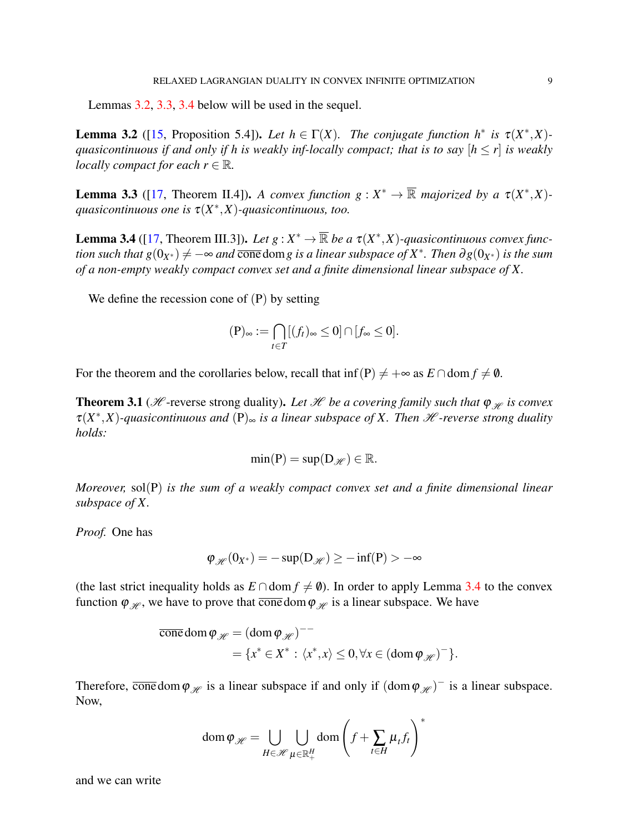Lemmas [3.2,](#page-6-0) [3.3,](#page-6-1) [3.4](#page-6-2) below will be used in the sequel.

<span id="page-6-0"></span>**Lemma 3.2** ([\[15,](#page-15-14) Proposition 5.4]). Let  $h \in \Gamma(X)$ . The conjugate function  $h^*$  is  $\tau(X^*,X)$ *quasicontinuous if and only if h is weakly inf-locally compact; that is to say*  $[h \leq r]$  *is weakly locally compact for each*  $r \in \mathbb{R}$ *.* 

<span id="page-6-1"></span>**Lemma 3.3** ([\[17,](#page-15-16) Theorem II.4]). *A convex function*  $g: X^* \to \overline{\mathbb{R}}$  *majorized by a*  $\tau(X^*, X)$ *quasicontinuous one is* τ(*X* ∗ ,*X*)*-quasicontinuous, too.*

<span id="page-6-2"></span>**Lemma 3.4** ([\[17,](#page-15-16) Theorem III.3]). Let  $g: X^* \to \overline{\mathbb{R}}$  be a  $\tau(X^*, X)$ -quasicontinuous convex func- $\tau$  *tion such that*  $g(0_{X^*}) \neq -\infty$  and  $\overline{\text{cone}}$  dom $g$  is a linear subspace of  $X^*$ . Then  $\partial g(0_{X^*})$  is the sum *of a non-empty weakly compact convex set and a finite dimensional linear subspace of X.*

We define the recession cone of (P) by setting

$$
(\mathbf{P})_{\infty} := \bigcap_{t \in T} [(f_t)_{\infty} \leq 0] \cap [f_{\infty} \leq 0].
$$

For the theorem and the corollaries below, recall that inf(P)  $\neq +\infty$  as  $E \cap \text{dom } f \neq \emptyset$ .

<span id="page-6-3"></span>**Theorem 3.1** ( $\mathcal{H}$ -reverse strong duality). Let  $\mathcal{H}$  be a covering family such that  $\varphi_{\mathcal{H}}$  is convex  $\tau(X^*,X)$ -quasicontinuous and  $(P)_{\infty}$  is a linear subspace of X. Then  $\mathscr H$ -reverse strong duality *holds:*

$$
\min(\mathbf{P}) = \sup(\mathbf{D}_{\mathscr{H}}) \in \mathbb{R}.
$$

*Moreover,* sol(P) *is the sum of a weakly compact convex set and a finite dimensional linear subspace of X.*

*Proof.* One has

$$
\varphi_{\mathscr{H}}(0_{X^*})=-\sup(D_{\mathscr{H}})\geq -\inf(P)>-\infty
$$

(the last strict inequality holds as  $E \cap \text{dom } f \neq \emptyset$ ). In order to apply Lemma [3.4](#page-6-2) to the convex function  $\varphi_{\mathscr{H}}$ , we have to prove that  $\overline{\text{cone}}$  dom  $\varphi_{\mathscr{H}}$  is a linear subspace. We have

$$
\overline{\text{cone}} \operatorname{dom} \varphi_{\mathscr{H}} = (\operatorname{dom} \varphi_{\mathscr{H}})^{-1}
$$
  
=  $\{x^* \in X^* : \langle x^*, x \rangle \leq 0, \forall x \in (\operatorname{dom} \varphi_{\mathscr{H}})^{-}\}.$ 

Therefore,  $\overline{\text{cone}}$  dom  $\varphi_{\mathcal{H}}$  is a linear subspace if and only if  $(\text{dom}\,\varphi_{\mathcal{H}})^-$  is a linear subspace. Now,

$$
\operatorname{dom} \varphi_{\mathscr{H}} = \bigcup_{H \in \mathscr{H}} \bigcup_{\mu \in \mathbb{R}^H_+} \operatorname{dom} \left( f + \sum_{t \in H} \mu_t f_t \right)^*
$$

and we can write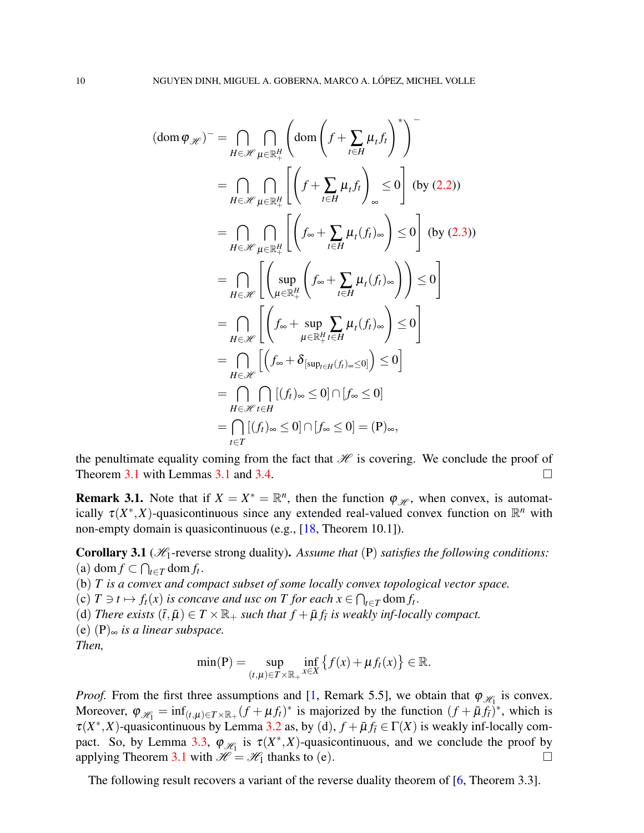$$
(\text{dom}\,\varphi_{\mathscr{H}})^{-} = \bigcap_{H \in \mathscr{H}} \bigcap_{\mu \in \mathbb{R}_{+}^{H}} \left( \text{dom}\left(f + \sum_{t \in H} \mu_{t} f_{t}\right)^{*}\right)^{-}
$$
\n
$$
= \bigcap_{H \in \mathscr{H}} \bigcap_{\mu \in \mathbb{R}_{+}^{H}} \left[ \left(f + \sum_{t \in H} \mu_{t} f_{t}\right)_{\infty} \le 0 \right] \text{ (by (2.2))}
$$
\n
$$
= \bigcap_{H \in \mathscr{H}} \bigcap_{\mu \in \mathbb{R}_{+}^{H}} \left[ \left(f_{\infty} + \sum_{t \in H} \mu_{t} (f_{t})_{\infty}\right) \le 0 \right] \text{ (by (2.3))}
$$
\n
$$
= \bigcap_{H \in \mathscr{H}} \left[ \left(\sup_{\mu \in \mathbb{R}_{+}^{H}} \left(f_{\infty} + \sum_{t \in H} \mu_{t} (f_{t})_{\infty}\right)\right) \le 0 \right]
$$
\n
$$
= \bigcap_{H \in \mathscr{H}} \left[ \left(f_{\infty} + \sup_{\mu \in \mathbb{R}_{+}^{H}} \sum_{t \in H} \mu_{t} (f_{t})_{\infty}\right) \le 0 \right]
$$
\n
$$
= \bigcap_{H \in \mathscr{H}} \left[ \left(f_{\infty} + \delta_{\left[\sup_{t \in H} (f_{t})_{\infty} \le 0\right]}\right) \le 0 \right]
$$
\n
$$
= \bigcap_{H \in \mathscr{H}} \left[ \left(f_{t})_{\infty} \le 0\right] \cap \left[f_{\infty} \le 0\right]
$$
\n
$$
= \bigcap_{t \in T} \left[ (f_{t})_{\infty} \le 0 \right] \cap \left[f_{\infty} \le 0\right] = (\mathbf{P})_{\infty},
$$

the penultimate equality coming from the fact that  $\mathcal H$  is covering. We conclude the proof of Theorem [3.1](#page-5-1) with Lemmas 3.1 and [3.4.](#page-6-2)

**Remark 3.1.** Note that if  $X = X^* = \mathbb{R}^n$ , then the function  $\varphi_{\mathcal{H}}$ , when convex, is automatically  $\tau(X^*,X)$ -quasicontinuous since any extended real-valued convex function on  $\mathbb{R}^n$  with non-empty domain is quasicontinuous (e.g., [\[18,](#page-15-17) Theorem 10.1]).

<span id="page-7-0"></span>**Corollary 3.1** ( $\mathcal{H}_1$ -reverse strong duality). Assume that (P) satisfies the following conditions: (a) dom *f* ⊂  $\bigcap_{t \in T}$  dom *f*<sub>t</sub>.

(b) *T is a convex and compact subset of some locally convex topological vector space.*

(c)  $T \ni t \mapsto f_t(x)$  *is concave and usc on*  $T$  *for each*  $x \in \bigcap_{t \in T} \text{dom } f_t$ .

(d) *There exists*  $(\bar{t}, \bar{\mu}) \in T \times \mathbb{R}_+$  *such that*  $f + \bar{\mu} f_{\bar{t}}$  *is weakly inf-locally compact.* 

(e) (P)<sup>∞</sup> *is a linear subspace.*

*Then,*

$$
\min(\mathbf{P}) = \sup_{(t,\mu)\in T\times\mathbb{R}_+} \inf_{x\in X} \left\{ f(x) + \mu f_t(x) \right\} \in \mathbb{R}.
$$

*Proof.* From the first three assumptions and [\[1,](#page-15-0) Remark 5.5], we obtain that  $\varphi_{\mathcal{H}_1}$  is convex. Moreover,  $\varphi_{\mathscr{H}_1} = \inf_{(t,\mu) \in T \times \mathbb{R}_+} (f + \mu f_t)^*$  is majorized by the function  $(f + \bar{\mu} f_t)^*$ , which is  $\tau(X^*,X)$ -quasicontinuous by Lemma [3.2](#page-6-0) as, by (d),  $f + \bar{\mu} f_t \in \Gamma(X)$  is weakly inf-locally com-pact. So, by Lemma [3.3,](#page-6-1)  $\varphi_{\mathcal{H}_1}$  is  $\tau(X^*,X)$ -quasicontinuous, and we conclude the proof by applying Theorem [3.1](#page-6-3) with  $\mathcal{H} = \mathcal{H}_1$  thanks to (e).

The following result recovers a variant of the reverse duality theorem of [\[6,](#page-15-5) Theorem 3.3].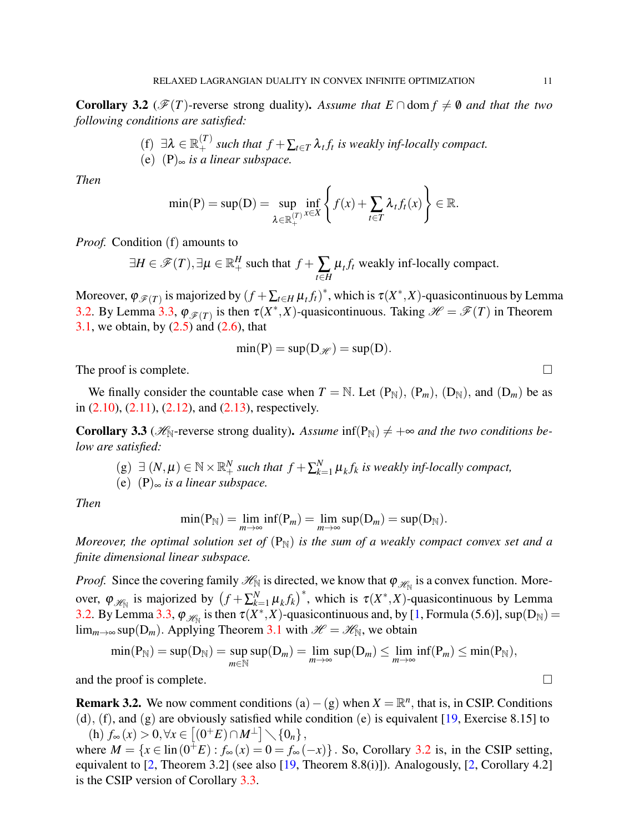<span id="page-8-1"></span>**Corollary 3.2** ( $\mathcal{F}(T)$ -reverse strong duality). Assume that  $E \cap \text{dom } f \neq \emptyset$  and that the two *following conditions are satisfied:*

> (f)  $\exists \lambda \in \mathbb{R}_+^{(T)}$  such that  $f + \sum_{t \in T} \lambda_t f_t$  is weakly inf-locally compact. (e) (P)<sup>∞</sup> *is a linear subspace.*

*Then*

$$
\min(\mathbf{P}) = \sup(\mathbf{D}) = \sup_{\lambda \in \mathbb{R}_+^{(T)}} \inf_{x \in X} \left\{ f(x) + \sum_{t \in T} \lambda_t f_t(x) \right\} \in \mathbb{R}.
$$

*Proof.* Condition (f) amounts to

$$
\exists H \in \mathcal{F}(T), \exists \mu \in \mathbb{R}^H_+ \text{ such that } f + \sum_{t \in H} \mu_t f_t \text{ weakly inf-locally compact.}
$$

Moreover,  $\varphi_{\mathscr{F}(T)}$  is majorized by  $(f + \sum_{t \in H} \mu_t f_t)^*$ , which is  $\tau(X^*, X)$ -quasicontinuous by Lemma [3.2.](#page-6-0) By Lemma [3.3,](#page-6-1)  $\varphi_{\mathscr{F}(T)}$  is then  $\tau(X^*,X)$ -quasicontinuous. Taking  $\mathscr{H} = \mathscr{F}(T)$  in Theorem [3.1,](#page-6-3) we obtain, by  $(2.5)$  and  $(2.6)$ , that

$$
\min(P) = \sup(D_{\mathscr{H}}) = \sup(D).
$$

The proof is complete.  $\Box$ 

We finally consider the countable case when  $T = N$ . Let  $(P_N)$ ,  $(P_m)$ ,  $(D_N)$ , and  $(D_m)$  be as in  $(2.10)$ ,  $(2.11)$ ,  $(2.12)$ , and  $(2.13)$ , respectively.

<span id="page-8-0"></span>**Corollary 3.3** ( $\mathcal{H}_{\mathbb{N}}$ -reverse strong duality). Assume  $\inf(P_{\mathbb{N}}) \neq +\infty$  and the two conditions be*low are satisfied:*

(g) 
$$
\exists
$$
  $(N, \mu) \in \mathbb{N} \times \mathbb{R}^N_+$  such that  $f + \sum_{k=1}^N \mu_k f_k$  is weakly inf-locally compact,

(e) (P)<sup>∞</sup> *is a linear subspace.*

*Then*

$$
\min(\mathbf{P}_{\mathbb{N}})=\lim_{m\to\infty}\inf(\mathbf{P}_m)=\lim_{m\to\infty}\sup(\mathbf{D}_m)=\sup(\mathbf{D}_{\mathbb{N}}).
$$

*Moreover, the optimal solution set of*  $(P_N)$  *is the sum of a weakly compact convex set and a finite dimensional linear subspace.*

*Proof.* Since the covering family  $\mathcal{H}_{\mathbb{N}}$  is directed, we know that  $\varphi_{\mathcal{H}_{\mathbb{N}}}$  is a convex function. Moreover,  $\varphi_{\mathscr{H}_{\mathbb{N}}}$  is majorized by  $(f + \sum_{k=1}^{N} f_k)$  $\left(\frac{N}{k-1}\mu_k f_k\right)^*$ , which is  $\tau(X^*, X)$ -quasicontinuous by Lemma [3.2.](#page-6-0) By Lemma [3.3,](#page-6-1)  $\varphi_{\mathscr{H}_{\mathbb{N}}}$  is then  $\tau(X^*,X)$ -quasicontinuous and, by [\[1,](#page-15-0) Formula (5.6)], sup(D<sub>N</sub>) = lim<sub>*m*→∞</sub> sup(D<sub>*m*</sub>). Applying Theorem [3.1](#page-6-3) with  $\mathcal{H} = \mathcal{H}_{\mathbb{N}}$ , we obtain

$$
\min(\mathbf{P}_{\mathbb{N}})=\sup(\mathbf{D}_{\mathbb{N}})=\sup_{m\in\mathbb{N}}\sup(\mathbf{D}_{m})=\lim_{m\to\infty}\sup(\mathbf{D}_{m})\leq \lim_{m\to\infty}\inf(\mathbf{P}_{m})\leq \min(\mathbf{P}_{\mathbb{N}}),
$$

and the proof is complete.  $\Box$ 

<span id="page-8-2"></span>**Remark 3.2.** We now comment conditions  $(a) - (g)$  when  $X = \mathbb{R}^n$ , that is, in CSIP. Conditions (d), (f), and (g) are obviously satisfied while condition (e) is equivalent  $[19, \text{Exercise } 8.15]$  $[19, \text{Exercise } 8.15]$  to  $h\left( h\right) f_{\infty}(x) > 0, \forall x \in \left[ \left( 0^{+}E\right) \cap M^{\perp}\right] \diagdown \lbrace 0_{n}\rbrace,$ 

where  $M = \{x \in \text{lin}(0^{\frac{1}{T}}E) : f_{\infty}(x) = 0 = f_{\infty}(-x)\}\.$  So, Corollary [3.2](#page-8-1) is, in the CSIP setting, equivalent to  $[2,$  Theorem 3.2] (see also  $[19,$  Theorem 8.8(i)]). Analogously,  $[2,$  Corollary 4.2] is the CSIP version of Corollary [3.3.](#page-8-0)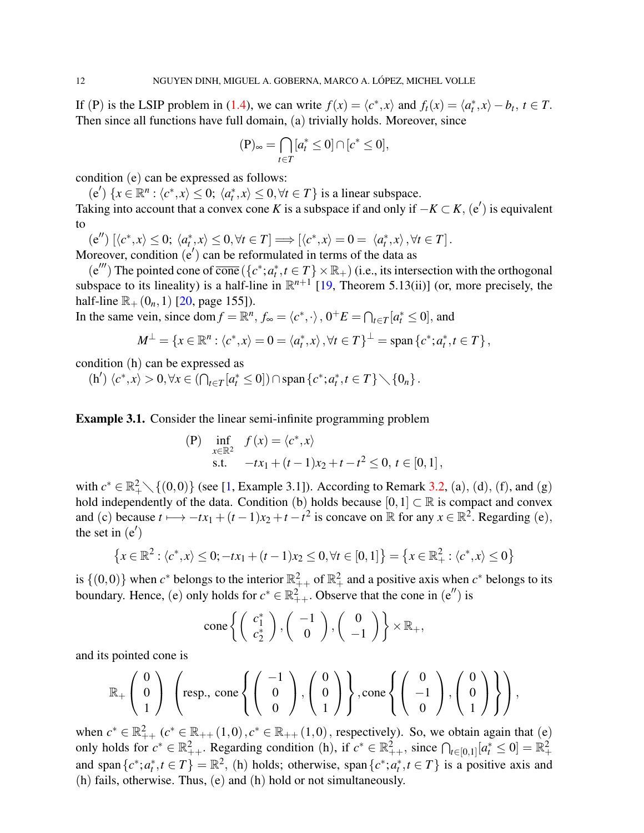If (P) is the LSIP problem in [\(1.4\)](#page-1-0), we can write  $f(x) = \langle c^*, x \rangle$  and  $f_t(x) = \langle a^*_t, x \rangle - b_t, t \in T$ . Then since all functions have full domain, (a) trivially holds. Moreover, since

$$
(\mathbf{P})_{\infty} = \bigcap_{t \in T} [a_t^* \le 0] \cap [c^* \le 0],
$$

condition (e) can be expressed as follows:

(e')  $\{x \in \mathbb{R}^n : \langle c^*, x \rangle \leq 0; \langle a_t^*, x \rangle \leq 0, \forall t \in T\}$  is a linear subspace.

Taking into account that a convex cone *K* is a subspace if and only if  $-K \subset K$ ,  $(e')$  is equivalent to

 $(e'')\left[\langle c^*, x \rangle \leq 0; \langle a_t^*, x \rangle \leq 0, \forall t \in T\right] \Longrightarrow \left[\langle c^*, x \rangle = 0 = \langle a_t^*, x \rangle, \forall t \in T\right].$ Moreover, condition  $(e')$  can be reformulated in terms of the data as

 $(e''')$  The pointed cone of  $\overline{\text{cone}}$   $(\lbrace c^*; a_t^*, t \in T \rbrace \times \mathbb{R}_+$ ) (i.e., its intersection with the orthogonal subspace to its lineality) is a half-line in  $\mathbb{R}^{n+1}$  [\[19,](#page-15-18) Theorem 5.13(ii)] (or, more precisely, the half-line  $\mathbb{R}_{+}(0_n,1)$  [\[20,](#page-15-19) page 155]).

In the same vein, since dom  $f = \mathbb{R}^n$ ,  $f_{\infty} = \langle c^*, \cdot \rangle$ ,  $0^+E = \bigcap_{t \in T} [a_t^* \le 0]$ , and

$$
M^{\perp} = \{x \in \mathbb{R}^n : \langle c^*, x \rangle = 0 = \langle a_t^*, x \rangle, \forall t \in T\}^{\perp} = \text{span}\left\{c^*; a_t^*, t \in T\right\},\
$$

condition (h) can be expressed as

 $(h') \langle c^*, x \rangle > 0, \forall x \in (\bigcap_{t \in T} [a_t^* \leq 0]) \cap \text{span}\{c^*, a_t^*, t \in T\} \setminus \{0_n\}.$ 

<span id="page-9-0"></span>Example 3.1. Consider the linear semi-infinite programming problem

(P) 
$$
\inf_{x \in \mathbb{R}^2} f(x) = \langle c^*, x \rangle
$$
  
s.t.  $-tx_1 + (t-1)x_2 + t - t^2 \le 0, t \in [0,1],$ 

with  $c^* \in \mathbb{R}_+^2 \setminus \{(0,0)\}$  (see [\[1,](#page-15-0) Example 3.1]). According to Remark [3.2,](#page-8-2) (a), (d), (f), and (g) hold independently of the data. Condition (b) holds because  $[0,1] \subset \mathbb{R}$  is compact and convex and (c) because  $t \mapsto -tx_1 + (t-1)x_2 + t - t^2$  is concave on R for any  $x \in \mathbb{R}^2$ . Regarding (e), the set in  $(e')$ 

$$
\{x \in \mathbb{R}^2 : \langle c^*, x \rangle \le 0; -tx_1 + (t-1)x_2 \le 0, \forall t \in [0,1]\} = \{x \in \mathbb{R}^2_+ : \langle c^*, x \rangle \le 0\}
$$

is  $\{(0,0)\}\)$  when  $c^*$  belongs to the interior  $\mathbb{R}^2_{++}$  of  $\mathbb{R}^2_+$  and a positive axis when  $c^*$  belongs to its boundary. Hence, (e) only holds for  $c^* \in \mathbb{R}^2_{++}$ . Observe that the cone in (e'') is

cone 
$$
\left\{ \left( \begin{array}{c} c_1^* \\ c_2^* \end{array} \right), \left( \begin{array}{c} -1 \\ 0 \end{array} \right), \left( \begin{array}{c} 0 \\ -1 \end{array} \right) \right\} \times \mathbb{R}_+,
$$

and its pointed cone is

$$
\mathbb{R}_+\left(\begin{array}{c}0\\0\\1\end{array}\right)\left(\text{resp., cone}\left\{\left(\begin{array}{c}-1\\0\\0\end{array}\right),\left(\begin{array}{c}0\\0\\1\end{array}\right)\right\},\text{cone}\left\{\left(\begin{array}{c}0\\-1\\0\end{array}\right),\left(\begin{array}{c}0\\0\\1\end{array}\right)\right\}\right),
$$

when  $c^* \in \mathbb{R}^2_{++}$   $(c^* \in \mathbb{R}_{++}(1,0), c^* \in \mathbb{R}_{++}(1,0)$ , respectively). So, we obtain again that (e) only holds for  $c^* \in \mathbb{R}^2_{++}$ . Regarding condition (h), if  $c^* \in \mathbb{R}^2_{++}$ , since  $\bigcap_{t \in [0,1]} [a_t^* \le 0] = \mathbb{R}^2_+$ and span $\{c^*, a_t^*, t \in T\} = \mathbb{R}^2$ , (h) holds; otherwise, span $\{c^*, a_t^*, t \in T\}$  is a positive axis and (h) fails, otherwise. Thus, (e) and (h) hold or not simultaneously.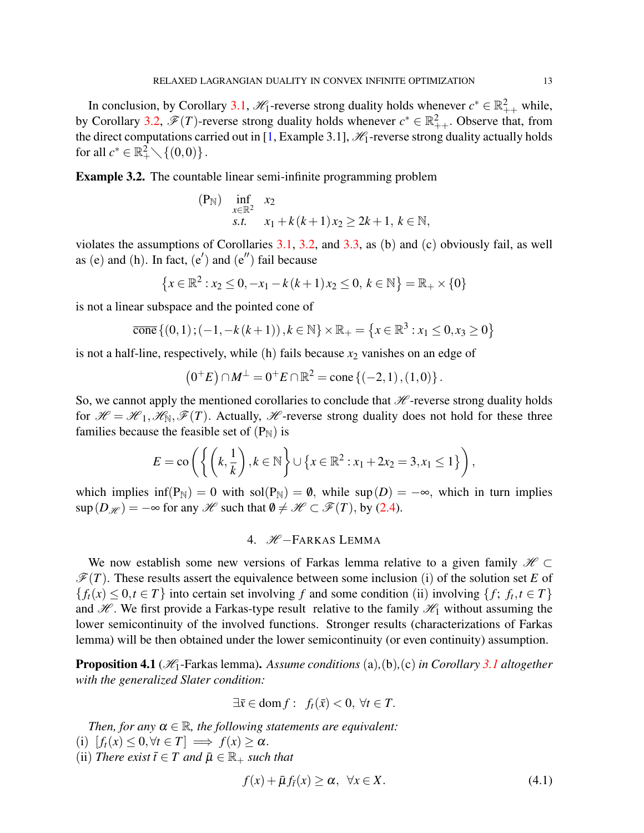In conclusion, by Corollary [3.1,](#page-7-0)  $\mathcal{H}_1$ -reverse strong duality holds whenever  $c^* \in \mathbb{R}^2_{++}$  while, by Corollary [3.2,](#page-8-1)  $\mathscr{F}(T)$ -reverse strong duality holds whenever  $c^* \in \mathbb{R}^2_{++}$ . Observe that, from the direct computations carried out in [\[1,](#page-15-0) Example 3.1],  $\mathcal{H}_1$ -reverse strong duality actually holds for all  $c^* \in \mathbb{R}_+^2 \setminus \{(0,0)\}$ .

Example 3.2. The countable linear semi-infinite programming problem

(P<sub>N</sub>) inf 
$$
x_2
$$
  
s.t.  $x_1 + k(k+1)x_2 \ge 2k+1, k \in \mathbb{N}$ ,

violates the assumptions of Corollaries [3.1,](#page-7-0) [3.2,](#page-8-1) and [3.3,](#page-8-0) as (b) and (c) obviously fail, as well as (e) and (h). In fact,  $(e')$  and  $(e'')$  fail because

$$
\{x \in \mathbb{R}^2 : x_2 \le 0, -x_1 - k(k+1)x_2 \le 0, k \in \mathbb{N}\} = \mathbb{R}_+ \times \{0\}
$$

is not a linear subspace and the pointed cone of

$$
\overline{\text{cone}}\left\{(0,1); (-1, -k(k+1)), k \in \mathbb{N}\right\} \times \mathbb{R}_{+} = \left\{x \in \mathbb{R}^{3} : x_{1} \leq 0, x_{3} \geq 0\right\}
$$

is not a half-line, respectively, while  $(h)$  fails because  $x_2$  vanishes on an edge of

$$
(0^+E)\cap M^{\perp}=0^+E\cap\mathbb{R}^2=\text{cone}\{(-2,1),(1,0)\}.
$$

So, we cannot apply the mentioned corollaries to conclude that  $\mathcal{H}$ -reverse strong duality holds for  $\mathcal{H} = \mathcal{H}_1, \mathcal{H}_N, \mathcal{F}(T)$ . Actually,  $\mathcal{H}$ -reverse strong duality does not hold for these three families because the feasible set of  $(P_N)$  is

$$
E = \text{co}\left(\left\{\left(k, \frac{1}{k}\right), k \in \mathbb{N}\right\} \cup \left\{x \in \mathbb{R}^2 : x_1 + 2x_2 = 3, x_1 \le 1\right\}\right),\right.
$$

which implies  $\inf(P_N) = 0$  with  $\text{sol}(P_N) = \emptyset$ , while  $\text{sup}(D) = -\infty$ , which in turn implies  $\sup(D_{\mathcal{H}}) = -\infty$  for any  $\mathcal{H}$  such that  $\emptyset \neq \mathcal{H} \subset \mathcal{F}(T)$ , by [\(2.4\)](#page-3-3).

# 4. **H** −FARKAS LEMMA

We now establish some new versions of Farkas lemma relative to a given family  $\mathcal{H} \subset$  $\mathscr{F}(T)$ . These results assert the equivalence between some inclusion (i) of the solution set *E* of  ${f_t(x) \leq 0, t \in T}$  into certain set involving *f* and some condition (ii) involving  ${f, f_t, t \in T}$ and  $\mathcal{H}$ . We first provide a Farkas-type result relative to the family  $\mathcal{H}_1$  without assuming the lower semicontinuity of the involved functions. Stronger results (characterizations of Farkas lemma) will be then obtained under the lower semicontinuity (or even continuity) assumption.

<span id="page-10-1"></span>Proposition 4.1 (H1-Farkas lemma). *Assume conditions* (a)*,*(b)*,*(c) *in Corollary [3.1](#page-7-0) altogether with the generalized Slater condition:*

$$
\exists \bar{x} \in \text{dom } f: f_t(\bar{x}) < 0, \ \forall t \in T.
$$

*Then, for any*  $\alpha \in \mathbb{R}$ *, the following statements are equivalent:* 

- (i)  $[f_t(x) < 0, \forall t \in T] \implies f(x) > \alpha$ .
- (ii) *There exist*  $\bar{t} \in T$  *and*  $\bar{\mu} \in \mathbb{R}_+$  *such that*

<span id="page-10-0"></span>
$$
f(x) + \bar{\mu} f_{\bar{t}}(x) \ge \alpha, \ \forall x \in X. \tag{4.1}
$$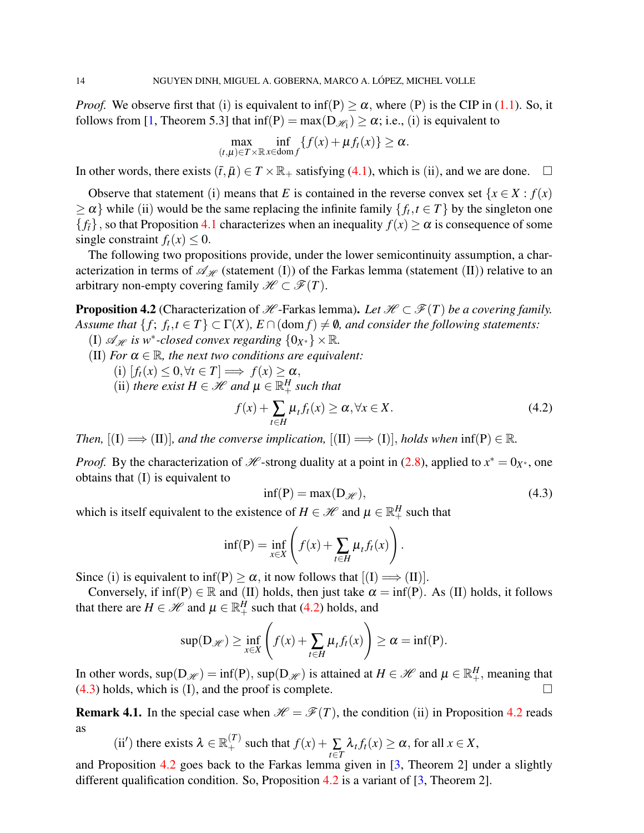*Proof.* We observe first that (i) is equivalent to inf(P)  $\geq \alpha$ , where (P) is the CIP in [\(1.1\)](#page-0-2). So, it follows from [\[1,](#page-15-0) Theorem 5.3] that  $\inf(P) = \max(D_{\mathcal{H}_1}) \geq \alpha$ ; i.e., (i) is equivalent to

$$
\max_{(t,\mu)\in T\times\mathbb{R}}\inf_{x\in\text{dom }f}\{f(x)+\mu f_t(x)\}\geq\alpha.
$$

In other words, there exists  $(\bar{t}, \bar{\mu}) \in T \times \mathbb{R}_+$  satisfying [\(4.1\)](#page-10-0), which is (ii), and we are done.  $\Box$ 

Observe that statement (i) means that *E* is contained in the reverse convex set  $\{x \in X : f(x)\}$  $\geq \alpha$ } while (ii) would be the same replacing the infinite family  $\{f_t, t \in T\}$  by the singleton one  ${f_t}$ , so that Proposition [4.1](#page-10-1) characterizes when an inequality  $f(x) \ge \alpha$  is consequence of some single constraint  $f_t(x) \leq 0$ .

The following two propositions provide, under the lower semicontinuity assumption, a characterization in terms of  $\mathcal{A}_{\mathcal{H}}$  (statement (I)) of the Farkas lemma (statement (II)) relative to an arbitrary non-empty covering family  $\mathcal{H} \subset \mathcal{F}(T)$ .

<span id="page-11-2"></span>**Proposition 4.2** (Characterization of  $H$ -Farkas lemma). Let  $H \subset \mathcal{F}(T)$  be a covering family. *Assume that*  $\{f; f_t, t \in T\} \subset \Gamma(X)$ ,  $E \cap (\text{dom } f) \neq \emptyset$ , and consider the following statements:

- (I)  $\mathscr{A}_{\mathscr{H}}$  *is* w<sup>\*</sup>-closed convex regarding  $\{0_{X^*}\}\times\mathbb{R}$ .
- (II) *For*  $\alpha \in \mathbb{R}$ *, the next two conditions are equivalent:*

$$
(i) [f_t(x) \leq 0, \forall t \in T] \Longrightarrow f(x) \geq \alpha,
$$

(ii) *there exist*  $H \in \mathcal{H}$  and  $\mu \in \mathbb{R}^H_+$  *such that* 

<span id="page-11-0"></span>
$$
f(x) + \sum_{t \in H} \mu_t f_t(x) \ge \alpha, \forall x \in X.
$$
 (4.2)

*Then,*  $[(I) \implies (II)]$ *, and the converse implication,*  $[(II) \implies (I)]$ *, holds when*  $\inf(P) \in \mathbb{R}$ *.* 

*Proof.* By the characterization of *H* -strong duality at a point in [\(2.8\)](#page-4-6), applied to  $x^* = 0_{X^*}$ , one obtains that (I) is equivalent to

<span id="page-11-1"></span>
$$
inf(P) = max(D_{\mathcal{H}}), \qquad (4.3)
$$

which is itself equivalent to the existence of  $H \in \mathcal{H}$  and  $\mu \in \mathbb{R}^H_+$  such that

$$
\inf(\mathbf{P}) = \inf_{x \in X} \left( f(x) + \sum_{t \in H} \mu_t f_t(x) \right).
$$

Since (i) is equivalent to inf(P)  $> \alpha$ , it now follows that  $[(I) \Longrightarrow (II)].$ 

Conversely, if  $\inf(P) \in \mathbb{R}$  and (II) holds, then just take  $\alpha = \inf(P)$ . As (II) holds, it follows that there are  $H \in \mathcal{H}$  and  $\mu \in \mathbb{R}^H_+$  such that [\(4.2\)](#page-11-0) holds, and

$$
\sup(D_{\mathscr{H}}) \geq \inf_{x \in X} \left( f(x) + \sum_{t \in H} \mu_t f_t(x) \right) \geq \alpha = \inf(P).
$$

In other words,  $sup(D_{\mathcal{H}}) = inf(P)$ ,  $sup(D_{\mathcal{H}})$  is attained at  $H \in \mathcal{H}$  and  $\mu \in \mathbb{R}^H_+$ , meaning that  $(4.3)$  holds, which is (I), and the proof is complete.

**Remark 4.1.** In the special case when  $\mathcal{H} = \mathcal{F}(T)$ , the condition (ii) in Proposition [4.2](#page-11-2) reads as

(ii') there exists 
$$
\lambda \in \mathbb{R}_+^{(T)}
$$
 such that  $f(x) + \sum_{t \in T} \lambda_t f_t(x) \ge \alpha$ , for all  $x \in X$ ,

and Proposition [4.2](#page-11-2) goes back to the Farkas lemma given in [\[3,](#page-15-2) Theorem 2] under a slightly different qualification condition. So, Proposition [4.2](#page-11-2) is a variant of [\[3,](#page-15-2) Theorem 2].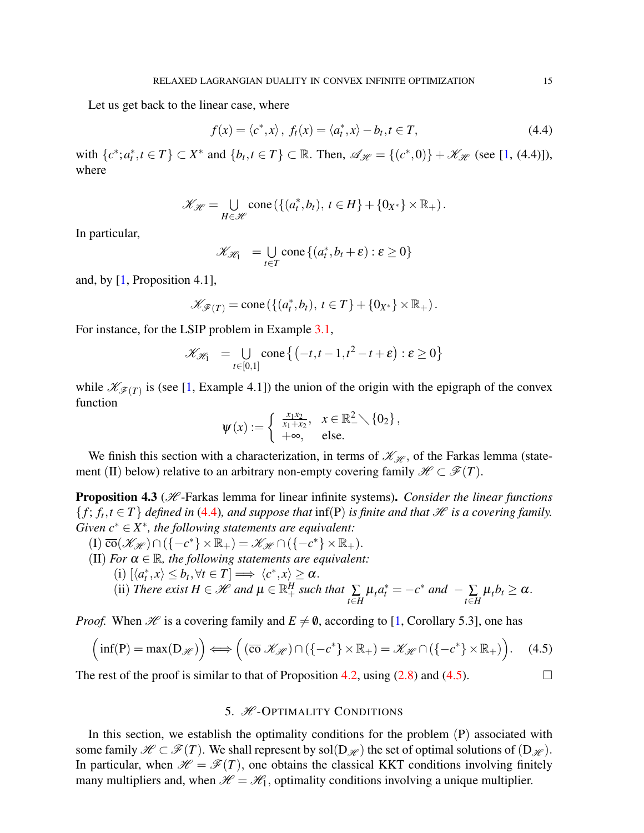Let us get back to the linear case, where

<span id="page-12-0"></span>
$$
f(x) = \langle c^*, x \rangle, f_t(x) = \langle a_t^*, x \rangle - b_t, t \in T,
$$
\n(4.4)

with  $\{c^*, a_t^*, t \in T\} \subset X^*$  and  $\{b_t, t \in T\} \subset \mathbb{R}$ . Then,  $\mathcal{A}_{\mathcal{H}} = \{(c^*, 0)\} + \mathcal{K}_{\mathcal{H}}$  (see [\[1,](#page-15-0) (4.4)]), where

$$
\mathscr{K}_{\mathscr{H}} = \bigcup_{H \in \mathscr{H}} \text{cone}\left( \left\{ (a_t^*, b_t), \ t \in H \right\} + \left\{ 0_{X^*} \right\} \times \mathbb{R}_+ \right).
$$

In particular,

$$
\mathcal{K}_{\mathcal{H}_1} = \bigcup_{t \in T} \text{cone}\left\{(a_t^*, b_t + \varepsilon) : \varepsilon \ge 0\right\}
$$

and, by [\[1,](#page-15-0) Proposition 4.1],

$$
\mathscr{K}_{\mathscr{F}(T)} = \text{cone}\left( \left\{ (a_t^*, b_t), \ t \in T \right\} + \left\{ 0_{X^*} \right\} \times \mathbb{R}_+ \right).
$$

For instance, for the LSIP problem in Example [3.1,](#page-9-0)

$$
\mathscr{K}_{\mathscr{H}_1} = \bigcup_{t \in [0,1]} \text{cone} \left\{ \left( -t, t - 1, t^2 - t + \varepsilon \right) : \varepsilon \geq 0 \right\}
$$

while  $\mathcal{K}_{\mathcal{F}(T)}$  is (see [\[1,](#page-15-0) Example 4.1]) the union of the origin with the epigraph of the convex function

$$
\psi(x) := \begin{cases} \frac{x_1x_2}{x_1+x_2}, & x \in \mathbb{R}^2_-\setminus \{0_2\}, \\ +\infty, & \text{else.} \end{cases}
$$

We finish this section with a characterization, in terms of  $\mathcal{K}_{\mathcal{H}}$ , of the Farkas lemma (statement (II) below) relative to an arbitrary non-empty covering family  $\mathcal{H} \subset \mathcal{F}(T)$ .

**Proposition 4.3** (*H*-Farkas lemma for linear infinite systems). *Consider the linear functions*  $\{f; f_t, t \in T\}$  *defined in* [\(4.4\)](#page-12-0)*, and suppose that* inf(P) *is finite and that*  $\mathcal{H}$  *is a covering family. Given*  $c^* \in X^*$ , the following statements are equivalent:

\n- (I) 
$$
\overline{co}(\mathcal{K}_{\mathcal{H}}) \cap (\{-c^*\} \times \mathbb{R}_+) = \mathcal{K}_{\mathcal{H}} \cap (\{-c^*\} \times \mathbb{R}_+).
$$
\n- (II) For  $\alpha \in \mathbb{R}$ , the following statements are equivalent:
\n- (i)  $[\langle a_i^*, x \rangle \leq b_t, \forall t \in T] \Longrightarrow \langle c^*, x \rangle \geq \alpha.$
\n- (ii) There exist  $H \in \mathcal{H}$  and  $\mu \in \mathbb{R}_+^H$  such that  $\sum_{t \in H} \mu_t a_t^* = -c^*$  and  $-\sum_{t \in H} \mu_t b_t \geq \alpha$ .
\n

*Proof.* When *H* is a covering family and  $E \neq \emptyset$ , according to [\[1,](#page-15-0) Corollary 5.3], one has

<span id="page-12-1"></span>
$$
\left(\inf(P) = \max(D_{\mathscr{H}})\right) \Longleftrightarrow \left(\left(\overline{co} \ \mathscr{K}_{\mathscr{H}}\right) \cap \left(\{-c^*\} \times \mathbb{R}_+\right) = \mathscr{K}_{\mathscr{H}} \cap \left(\{-c^*\} \times \mathbb{R}_+\right)\right). \tag{4.5}
$$

The rest of the proof is similar to that of Proposition [4.2,](#page-11-2) using  $(2.8)$  and  $(4.5)$ .

## 5. **H**-OPTIMALITY CONDITIONS

In this section, we establish the optimality conditions for the problem  $(P)$  associated with some family  $\mathcal{H} \subset \mathcal{F}(T)$ . We shall represent by sol(D<sub>H'</sub>) the set of optimal solutions of (D<sub>H'</sub>). In particular, when  $\mathcal{H} = \mathcal{F}(T)$ , one obtains the classical KKT conditions involving finitely many multipliers and, when  $\mathcal{H} = \mathcal{H}_1$ , optimality conditions involving a unique multiplier.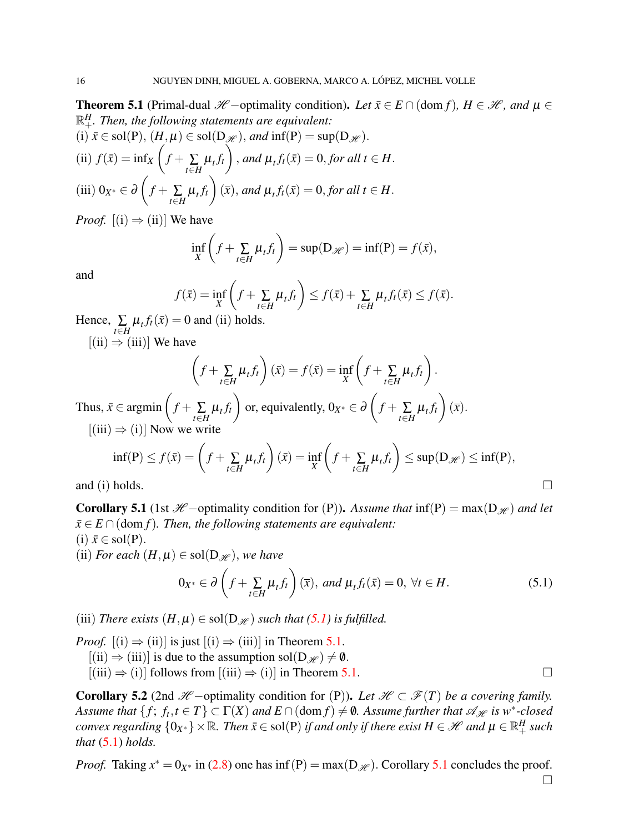<span id="page-13-1"></span>**Theorem 5.1** (Primal-dual  $\mathcal{H}$  −optimality condition). Let  $\bar{x} \in E \cap (\text{dom } f)$ ,  $H \in \mathcal{H}$ , and  $\mu \in$  $\mathbb{R}^H_+$ *. Then, the following statements are equivalent:* (i)  $\bar{x} \in sol(P)$ ,  $(H, \mu) \in sol(D_{\mathcal{H}})$ , and  $\inf(P) = sup(D_{\mathcal{H}})$ .

(ii) 
$$
f(\bar{x}) = \inf_X \left( f + \sum_{t \in H} \mu_t f_t \right)
$$
, and  $\mu_t f_t(\bar{x}) = 0$ , for all  $t \in H$ .  
(iii)  $0_{X^*} \in \partial \left( f + \sum_{t \in H} \mu_t f_t \right) (\bar{x})$ , and  $\mu_t f_t(\bar{x}) = 0$ , for all  $t \in H$ .

*Proof.*  $[(i) \Rightarrow (ii)]$  We have

$$
\inf_{X} \left( f + \sum_{t \in H} \mu_t f_t \right) = \sup(D_{\mathscr{H}}) = \inf(P) = f(\bar{x}),
$$

and

$$
f(\bar{x}) = \inf_{X} \left( f + \sum_{t \in H} \mu_t f_t \right) \le f(\bar{x}) + \sum_{t \in H} \mu_t f_t(\bar{x}) \le f(\bar{x}).
$$
  
= 0 and (ii) holds

Hence,  $\sum_{t \in H} \mu_t f_t(\bar{x}) = 0$  and (ii) holds.  $[(ii) \Rightarrow (iii)]$  We have

$$
\left(f + \sum_{t \in H} \mu_t f_t\right)(\bar{x}) = f(\bar{x}) = \inf_X \left(f + \sum_{t \in H} \mu_t f_t\right).
$$

Thus,  $\bar{x} \in \text{argmin} \left( f + \sum_{t \in H} \mu_t f_t \right)$  $\setminus$ or, equivalently, 0*X*<sup>∗</sup> ∈ ∂  $\sqrt{ }$  $f + \sum_{t \in H} \mu_t f_t$  $\setminus$  $(\overline{x})$ .  $[(iii) \Rightarrow (i)]$  Now we write

$$
\inf(\mathbf{P}) \le f(\bar{x}) = \left(f + \sum_{t \in H} \mu_t f_t\right)(\bar{x}) = \inf_{X} \left(f + \sum_{t \in H} \mu_t f_t\right) \le \sup(\mathbf{D}_{\mathcal{H}}) \le \inf(\mathbf{P}),
$$

and (i) holds.

<span id="page-13-2"></span>**Corollary 5.1** (1st  $\mathcal{H}$  −optimality condition for (P)). Assume that inf(P) = max(D<sub>H</sub>) and let  $\bar{x} \in E \cap (\text{dom } f)$ *. Then, the following statements are equivalent:*  $(i)$   $\bar{x} \in sol(P)$ .

(ii) *For each*  $(H, \mu) \in sol(D_{\mathcal{H}})$ , *we have* 

<span id="page-13-0"></span>
$$
0_{X^*} \in \partial \left( f + \sum_{t \in H} \mu_t f_t \right) (\overline{x}), \text{ and } \mu_t f_t (\overline{x}) = 0, \forall t \in H.
$$
 (5.1)

(iii) *There exists*  $(H, \mu) \in sol(D_{\mathcal{H}})$  *such that*  $(5.1)$  *is fulfilled.* 

*Proof.*  $[(i) \Rightarrow (ii)]$  is just  $[(i) \Rightarrow (iii)]$  in Theorem [5.1.](#page-13-1)  $[(ii) \Rightarrow (iii)]$  is due to the assumption sol $(D_{\mathcal{H}}) \neq \emptyset$ .

 $[(iii) \Rightarrow (i)]$  follows from  $[(iii) \Rightarrow (i)]$  in Theorem [5.1.](#page-13-1)

<span id="page-13-3"></span>**Corollary 5.2** (2nd  $\mathcal{H}$  −optimality condition for (P)). Let  $\mathcal{H} \subset \mathcal{F}(T)$  be a covering family. *Assume that*  $\{f; f_t, t \in T\} \subset \Gamma(X)$  *and*  $E \cap (\text{dom } f) \neq \emptyset$ . Assume further that  $\mathscr{A}_{\mathscr{H}}$  is w<sup>∗</sup>-closed *convex regarding*  $\{0_{X^*}\}\times\mathbb{R}$ *. Then*  $\bar{x}\in$  sol(P) *if and only if there exist*  $H\in\mathscr{H}$  and  $\mu\in\mathbb{R}_+^H$  such *that* [\(5.1\)](#page-13-0) *holds.*

*Proof.* Taking  $x^* = 0_{X^*}$  in [\(2.8\)](#page-4-6) one has inf (P) = max(D<sub>H</sub>). Corollary [5.1](#page-13-2) concludes the proof.  $\Box$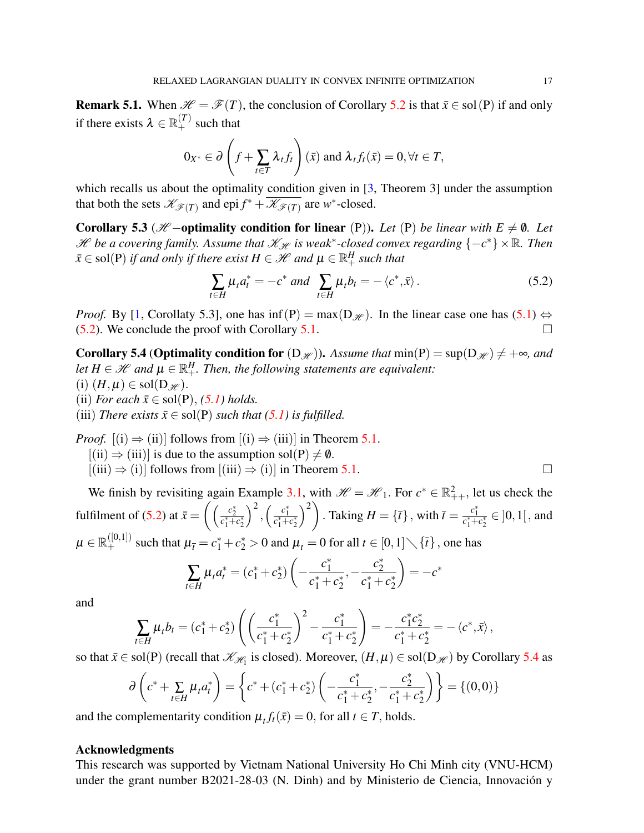**Remark 5.1.** When  $\mathcal{H} = \mathcal{F}(T)$ , the conclusion of Corollary [5.2](#page-13-3) is that  $\bar{x} \in \text{sol}(P)$  if and only if there exists  $\lambda \in \mathbb{R}_+^{(T)}$  such that

$$
0_{X^*} \in \partial \left( f + \sum_{t \in T} \lambda_t f_t \right) (\bar{x}) \text{ and } \lambda_t f_t(\bar{x}) = 0, \forall t \in T,
$$

which recalls us about the optimality condition given in  $[3,$  Theorem 3] under the assumption that both the sets  $\mathscr{K}_{\mathscr{F}(T)}$  and epi  $f^*$  +  $\overline{\mathscr{K}_{\mathscr{F}(T)}}$  are *w*<sup>\*</sup>-closed.

Corollary 5.3 ( $H$  −optimality condition for linear (P)). Let (P) be linear with  $E \neq \emptyset$ . Let *H* be a covering family. Assume that  $\mathscr{K}_{\mathscr{H}}$  is weak<sup>\*</sup>-closed convex regarding  ${-c^*}\times \mathbb{R}$ . Then  $\bar{x} \in \mathrm{sol}(P)$  *if and only if there exist*  $H \in \mathscr{H}$  *and*  $\mu \in \mathbb{R}^H_+$  *such that* 

<span id="page-14-0"></span>
$$
\sum_{t \in H} \mu_t a_t^* = -c^* \text{ and } \sum_{t \in H} \mu_t b_t = -\langle c^*, \bar{x} \rangle. \tag{5.2}
$$

*Proof.* By [\[1,](#page-15-0) Corollaty 5.3], one has  $\inf(P) = \max(D_{\mathcal{H}})$ . In the linear case one has [\(5.1\)](#page-13-0)  $\Leftrightarrow$  $(5.2)$ . We conclude the proof with Corollary [5.1.](#page-13-2)

<span id="page-14-1"></span>**Corollary 5.4 (Optimality condition for**  $(D_{\mathcal{H}})$ ). Assume that  $min(P) = sup(D_{\mathcal{H}}) \neq +\infty$ , and let  $H \in \mathscr{H}$  and  $\mu \in \mathbb{R}^H_+$ . Then, the following statements are equivalent: (i)  $(H, \mu) \in sol(D_{\mathscr{H}})$ . (ii) *For each*  $\bar{x} \in sol(P)$ , [\(5.1\)](#page-13-0) *holds.* (iii) *There exists*  $\bar{x} \in sol(P)$  *such that* [\(5.1\)](#page-13-0) *is fulfilled.* 

*Proof.*  $[(i) \Rightarrow (ii)]$  follows from  $[(i) \Rightarrow (iii)]$  in Theorem [5.1.](#page-13-1)

 $[(ii) \Rightarrow (iii)]$  is due to the assumption sol(P)  $\neq \emptyset$ .

 $[(iii) \Rightarrow (i)]$  follows from  $[(iii) \Rightarrow (i)]$  in Theorem [5.1.](#page-13-1)

We finish by revisiting again Example [3.1,](#page-9-0) with  $\mathcal{H} = \mathcal{H}_1$ . For  $c^* \in \mathbb{R}^2_{++}$ , let us check the fulfilment of [\(5.2\)](#page-14-0) at  $\bar{x} = \left( \left( \frac{c_2^*}{c_1^* + c_2^*} \right) \right)$  $\bigg)^2\,, \bigg(\frac{c_1^*}{c_1^*+c_2^*}$  $\left\langle \right\rangle ^{2}$ . Taking  $H = \{\bar{t}\}\,$ , with  $\bar{t} = \frac{c_1^*}{c_1^* + c_2^*} \in \{0, 1\}$ , and  $\mu\in\mathbb{R}_+^{([0,1])}$  such that  $\mu_{\bar{t}}=c_1^*+c_2^*>0$  and  $\mu_t=0$  for all  $t\in[0,1]\diagdown\{\bar{t}\}$  , one has

$$
\sum_{t \in H} \mu_t a_t^* = (c_1^* + c_2^*) \left( -\frac{c_1^*}{c_1^* + c_2^*}, -\frac{c_2^*}{c_1^* + c_2^*} \right) = -c^*
$$

and

$$
\sum_{t \in H} \mu_t b_t = (c_1^* + c_2^*) \left( \left( \frac{c_1^*}{c_1^* + c_2^*} \right)^2 - \frac{c_1^*}{c_1^* + c_2^*} \right) = -\frac{c_1^* c_2^*}{c_1^* + c_2^*} = -\langle c^*, \bar{x} \rangle,
$$

so that  $\bar{x} \in sol(P)$  (recall that  $\mathcal{K}_{\mathcal{H}_1}$  is closed). Moreover,  $(H, \mu) \in sol(D_{\mathcal{H}})$  by Corollary [5.4](#page-14-1) as

$$
\partial \left( c^* + \sum_{t \in H} \mu_t a_t^* \right) = \left\{ c^* + (c_1^* + c_2^*) \left( -\frac{c_1^*}{c_1^* + c_2^*}, -\frac{c_2^*}{c_1^* + c_2^*} \right) \right\} = \left\{ (0, 0) \right\}
$$

and the complementarity condition  $\mu_t f_t(\bar{x}) = 0$ , for all  $t \in T$ , holds.

### Acknowledgments

This research was supported by Vietnam National University Ho Chi Minh city (VNU-HCM) under the grant number B2021-28-03 (N. Dinh) and by Ministerio de Ciencia, Innovación y